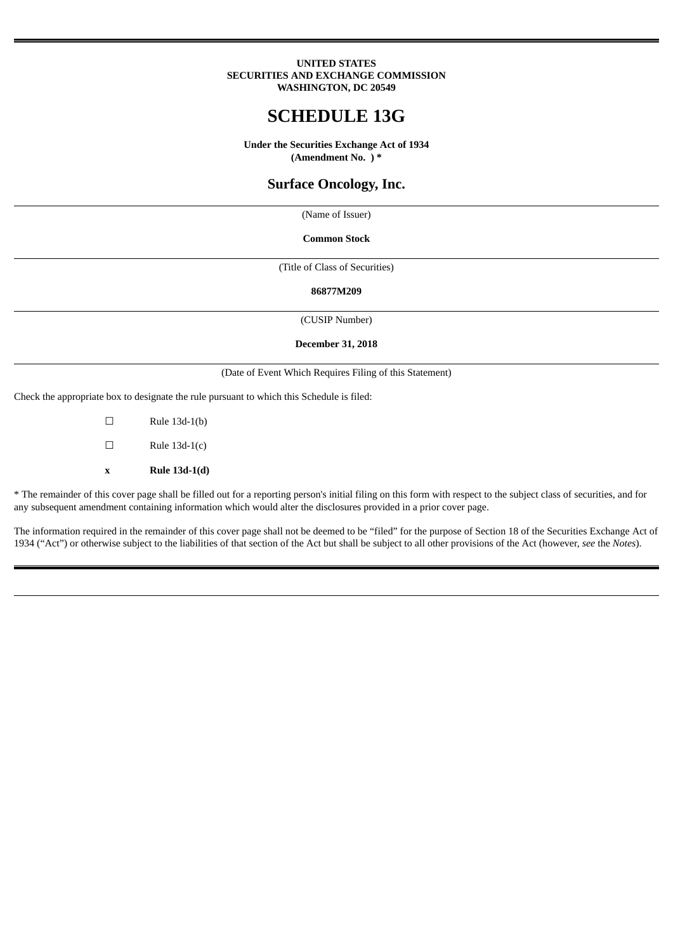#### **UNITED STATES SECURITIES AND EXCHANGE COMMISSION WASHINGTON, DC 20549**

# **SCHEDULE 13G**

**Under the Securities Exchange Act of 1934 (Amendment No. ) \***

# **Surface Oncology, Inc.**

(Name of Issuer)

**Common Stock**

(Title of Class of Securities)

**86877M209**

(CUSIP Number)

**December 31, 2018**

(Date of Event Which Requires Filing of this Statement)

Check the appropriate box to designate the rule pursuant to which this Schedule is filed:

 $\Box$  Rule 13d-1(b)  $\Box$  Rule 13d-1(c) **x Rule 13d-1(d)**

\* The remainder of this cover page shall be filled out for a reporting person's initial filing on this form with respect to the subject class of securities, and for any subsequent amendment containing information which would alter the disclosures provided in a prior cover page.

The information required in the remainder of this cover page shall not be deemed to be "filed" for the purpose of Section 18 of the Securities Exchange Act of 1934 ("Act") or otherwise subject to the liabilities of that section of the Act but shall be subject to all other provisions of the Act (however, *see* the *Notes*).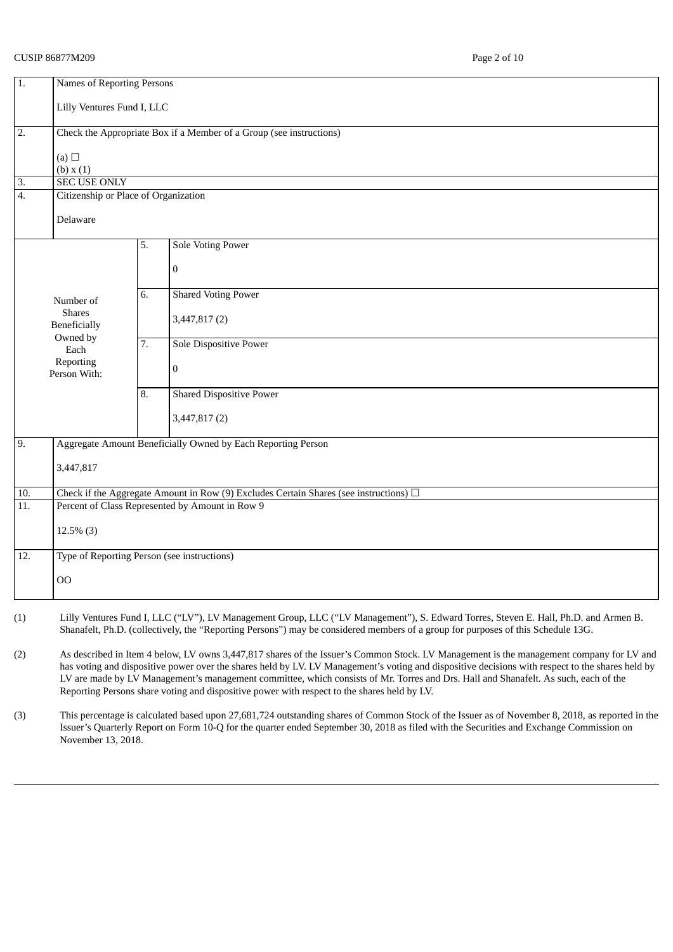# CUSIP 86877M209 Page 2 of 10

| 1.               | <b>Names of Reporting Persons</b>                                                          |    |                                                                     |  |  |
|------------------|--------------------------------------------------------------------------------------------|----|---------------------------------------------------------------------|--|--|
|                  | Lilly Ventures Fund I, LLC                                                                 |    |                                                                     |  |  |
| $\overline{2}$ . |                                                                                            |    | Check the Appropriate Box if a Member of a Group (see instructions) |  |  |
|                  | (a) $\square$<br>(b) x(1)                                                                  |    |                                                                     |  |  |
| $\overline{3}$ . | <b>SEC USE ONLY</b>                                                                        |    |                                                                     |  |  |
| $\overline{4}$ . | Citizenship or Place of Organization                                                       |    |                                                                     |  |  |
|                  | Delaware                                                                                   |    |                                                                     |  |  |
|                  |                                                                                            | 5. | <b>Sole Voting Power</b>                                            |  |  |
|                  |                                                                                            |    | $\bf{0}$                                                            |  |  |
|                  | Number of                                                                                  | 6. | <b>Shared Voting Power</b>                                          |  |  |
|                  | <b>Shares</b><br>Beneficially                                                              |    | 3,447,817(2)                                                        |  |  |
|                  | Owned by<br>Each                                                                           | 7. | Sole Dispositive Power                                              |  |  |
|                  | Reporting<br>Person With:                                                                  |    | $\boldsymbol{0}$                                                    |  |  |
|                  |                                                                                            | 8. | <b>Shared Dispositive Power</b>                                     |  |  |
|                  |                                                                                            |    | 3,447,817(2)                                                        |  |  |
| 9.               |                                                                                            |    | Aggregate Amount Beneficially Owned by Each Reporting Person        |  |  |
|                  | 3,447,817                                                                                  |    |                                                                     |  |  |
| 10.              | Check if the Aggregate Amount in Row (9) Excludes Certain Shares (see instructions) $\Box$ |    |                                                                     |  |  |
| 11.              | Percent of Class Represented by Amount in Row 9                                            |    |                                                                     |  |  |
|                  | $12.5\%$ (3)                                                                               |    |                                                                     |  |  |
| 12.              | Type of Reporting Person (see instructions)                                                |    |                                                                     |  |  |
|                  | 00                                                                                         |    |                                                                     |  |  |
|                  |                                                                                            |    |                                                                     |  |  |

- (1) Lilly Ventures Fund I, LLC ("LV"), LV Management Group, LLC ("LV Management"), S. Edward Torres, Steven E. Hall, Ph.D. and Armen B. Shanafelt, Ph.D. (collectively, the "Reporting Persons") may be considered members of a group for purposes of this Schedule 13G.
- (2) As described in Item 4 below, LV owns 3,447,817 shares of the Issuer's Common Stock. LV Management is the management company for LV and has voting and dispositive power over the shares held by LV. LV Management's voting and dispositive decisions with respect to the shares held by LV are made by LV Management's management committee, which consists of Mr. Torres and Drs. Hall and Shanafelt. As such, each of the Reporting Persons share voting and dispositive power with respect to the shares held by LV.
- (3) This percentage is calculated based upon 27,681,724 outstanding shares of Common Stock of the Issuer as of November 8, 2018, as reported in the Issuer's Quarterly Report on Form 10-Q for the quarter ended September 30, 2018 as filed with the Securities and Exchange Commission on November 13, 2018.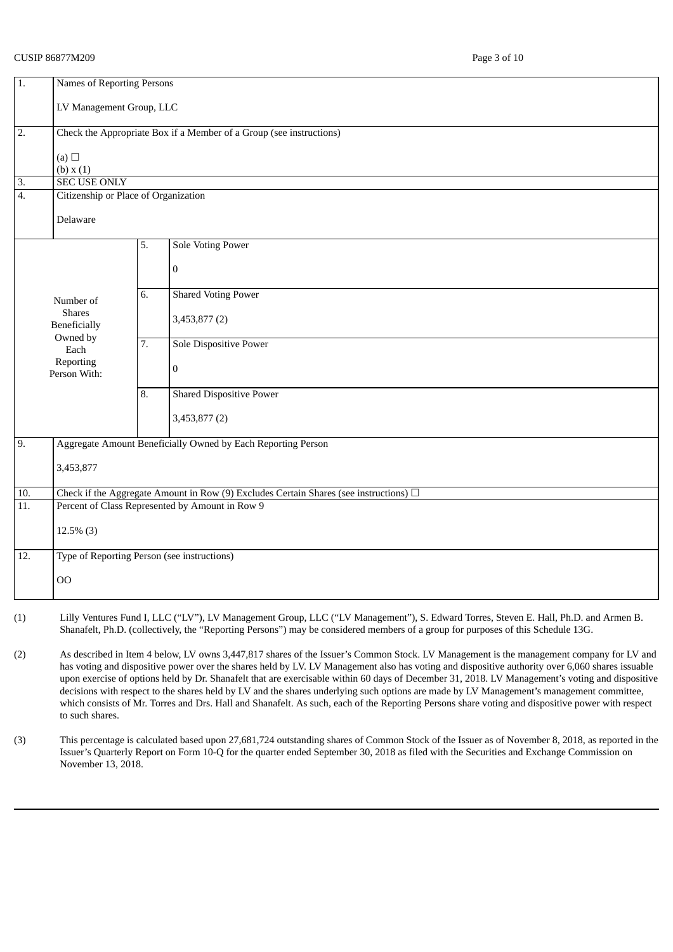# CUSIP 86877M209 Page 3 of 10

| $\overline{1}$ .  | Names of Reporting Persons                                                                                                                    |    |                                                                     |  |  |
|-------------------|-----------------------------------------------------------------------------------------------------------------------------------------------|----|---------------------------------------------------------------------|--|--|
|                   | LV Management Group, LLC                                                                                                                      |    |                                                                     |  |  |
|                   |                                                                                                                                               |    |                                                                     |  |  |
| 2.                |                                                                                                                                               |    | Check the Appropriate Box if a Member of a Group (see instructions) |  |  |
|                   |                                                                                                                                               |    |                                                                     |  |  |
|                   | (a)<br>(b) x(1)                                                                                                                               |    |                                                                     |  |  |
| $\overline{3}$ .  | <b>SEC USE ONLY</b>                                                                                                                           |    |                                                                     |  |  |
| $\overline{4}$ .  | Citizenship or Place of Organization                                                                                                          |    |                                                                     |  |  |
|                   |                                                                                                                                               |    |                                                                     |  |  |
|                   | Delaware                                                                                                                                      |    |                                                                     |  |  |
|                   |                                                                                                                                               | 5. | <b>Sole Voting Power</b>                                            |  |  |
|                   |                                                                                                                                               |    |                                                                     |  |  |
|                   |                                                                                                                                               |    | $\boldsymbol{0}$                                                    |  |  |
|                   |                                                                                                                                               | 6. | <b>Shared Voting Power</b>                                          |  |  |
|                   | Number of<br><b>Shares</b>                                                                                                                    |    |                                                                     |  |  |
|                   | Beneficially                                                                                                                                  |    | 3,453,877 (2)                                                       |  |  |
|                   | Owned by                                                                                                                                      | 7. | Sole Dispositive Power                                              |  |  |
|                   | Each<br>Reporting                                                                                                                             |    |                                                                     |  |  |
|                   | Person With:                                                                                                                                  |    | $\bf{0}$                                                            |  |  |
|                   |                                                                                                                                               | 8. | <b>Shared Dispositive Power</b>                                     |  |  |
|                   |                                                                                                                                               |    |                                                                     |  |  |
|                   |                                                                                                                                               |    | 3,453,877 (2)                                                       |  |  |
| 9.                |                                                                                                                                               |    | Aggregate Amount Beneficially Owned by Each Reporting Person        |  |  |
|                   |                                                                                                                                               |    |                                                                     |  |  |
|                   | 3,453,877                                                                                                                                     |    |                                                                     |  |  |
| 10.               |                                                                                                                                               |    |                                                                     |  |  |
| $\overline{11}$ . | Check if the Aggregate Amount in Row (9) Excludes Certain Shares (see instructions) $\Box$<br>Percent of Class Represented by Amount in Row 9 |    |                                                                     |  |  |
|                   |                                                                                                                                               |    |                                                                     |  |  |
|                   | $12.5\%$ (3)                                                                                                                                  |    |                                                                     |  |  |
| 12.               | Type of Reporting Person (see instructions)                                                                                                   |    |                                                                     |  |  |
|                   |                                                                                                                                               |    |                                                                     |  |  |
|                   | <b>OO</b>                                                                                                                                     |    |                                                                     |  |  |
|                   |                                                                                                                                               |    |                                                                     |  |  |

- (1) Lilly Ventures Fund I, LLC ("LV"), LV Management Group, LLC ("LV Management"), S. Edward Torres, Steven E. Hall, Ph.D. and Armen B. Shanafelt, Ph.D. (collectively, the "Reporting Persons") may be considered members of a group for purposes of this Schedule 13G.
- (2) As described in Item 4 below, LV owns 3,447,817 shares of the Issuer's Common Stock. LV Management is the management company for LV and has voting and dispositive power over the shares held by LV. LV Management also has voting and dispositive authority over 6,060 shares issuable upon exercise of options held by Dr. Shanafelt that are exercisable within 60 days of December 31, 2018. LV Management's voting and dispositive decisions with respect to the shares held by LV and the shares underlying such options are made by LV Management's management committee, which consists of Mr. Torres and Drs. Hall and Shanafelt. As such, each of the Reporting Persons share voting and dispositive power with respect to such shares.
- (3) This percentage is calculated based upon 27,681,724 outstanding shares of Common Stock of the Issuer as of November 8, 2018, as reported in the Issuer's Quarterly Report on Form 10-Q for the quarter ended September 30, 2018 as filed with the Securities and Exchange Commission on November 13, 2018.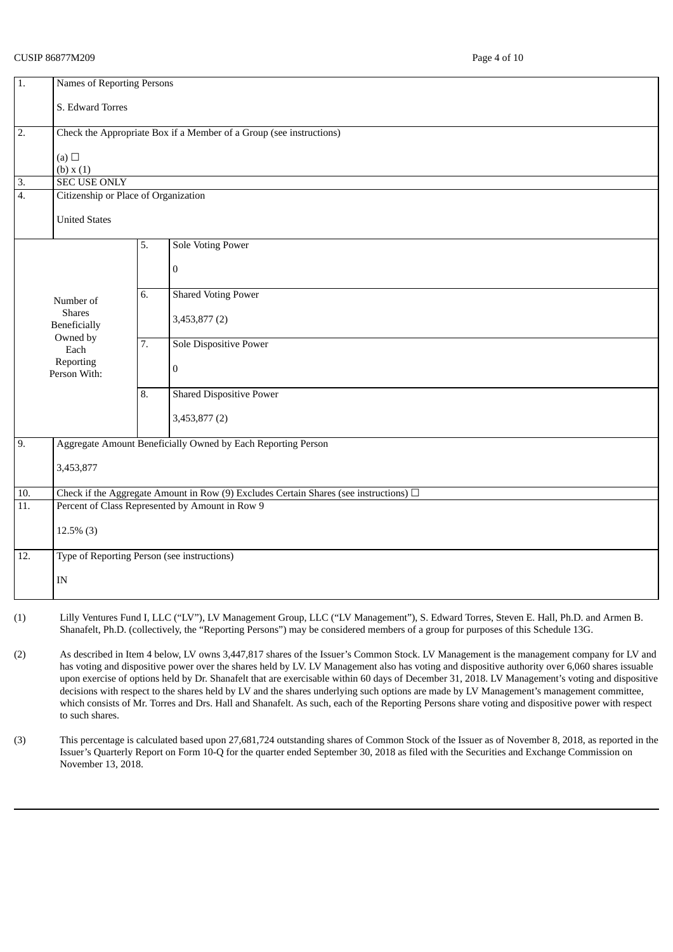# CUSIP 86877M209 Page 4 of 10

| $\overline{1}$ .  | <b>Names of Reporting Persons</b>                                                          |    |                                                                     |  |  |  |
|-------------------|--------------------------------------------------------------------------------------------|----|---------------------------------------------------------------------|--|--|--|
|                   |                                                                                            |    |                                                                     |  |  |  |
|                   | S. Edward Torres                                                                           |    |                                                                     |  |  |  |
| 2.                |                                                                                            |    | Check the Appropriate Box if a Member of a Group (see instructions) |  |  |  |
|                   |                                                                                            |    |                                                                     |  |  |  |
|                   | (a) $\Box$                                                                                 |    |                                                                     |  |  |  |
|                   | (b) x(1)                                                                                   |    |                                                                     |  |  |  |
| $\overline{3}$ .  | <b>SEC USE ONLY</b>                                                                        |    |                                                                     |  |  |  |
| 4.                | Citizenship or Place of Organization                                                       |    |                                                                     |  |  |  |
|                   | <b>United States</b>                                                                       |    |                                                                     |  |  |  |
|                   |                                                                                            |    |                                                                     |  |  |  |
|                   |                                                                                            | 5. | <b>Sole Voting Power</b>                                            |  |  |  |
|                   |                                                                                            |    |                                                                     |  |  |  |
|                   |                                                                                            |    | $\boldsymbol{0}$                                                    |  |  |  |
|                   |                                                                                            | 6. | <b>Shared Voting Power</b>                                          |  |  |  |
|                   | Number of                                                                                  |    |                                                                     |  |  |  |
|                   | <b>Shares</b>                                                                              |    | 3,453,877 (2)                                                       |  |  |  |
|                   | Beneficially<br>Owned by                                                                   |    |                                                                     |  |  |  |
|                   | Each                                                                                       | 7. | Sole Dispositive Power                                              |  |  |  |
|                   | Reporting                                                                                  |    |                                                                     |  |  |  |
|                   | Person With:                                                                               |    | $\boldsymbol{0}$                                                    |  |  |  |
|                   |                                                                                            | 8. | <b>Shared Dispositive Power</b>                                     |  |  |  |
|                   |                                                                                            |    |                                                                     |  |  |  |
|                   |                                                                                            |    | 3,453,877 (2)                                                       |  |  |  |
| 9.                |                                                                                            |    |                                                                     |  |  |  |
|                   |                                                                                            |    | Aggregate Amount Beneficially Owned by Each Reporting Person        |  |  |  |
|                   | 3,453,877                                                                                  |    |                                                                     |  |  |  |
|                   |                                                                                            |    |                                                                     |  |  |  |
| $\overline{10}$ . | Check if the Aggregate Amount in Row (9) Excludes Certain Shares (see instructions) $\Box$ |    |                                                                     |  |  |  |
| 11.               | Percent of Class Represented by Amount in Row 9                                            |    |                                                                     |  |  |  |
|                   |                                                                                            |    |                                                                     |  |  |  |
|                   | $12.5\%$ (3)                                                                               |    |                                                                     |  |  |  |
| 12.               | Type of Reporting Person (see instructions)                                                |    |                                                                     |  |  |  |
|                   |                                                                                            |    |                                                                     |  |  |  |
|                   | IN                                                                                         |    |                                                                     |  |  |  |
|                   |                                                                                            |    |                                                                     |  |  |  |

- (1) Lilly Ventures Fund I, LLC ("LV"), LV Management Group, LLC ("LV Management"), S. Edward Torres, Steven E. Hall, Ph.D. and Armen B. Shanafelt, Ph.D. (collectively, the "Reporting Persons") may be considered members of a group for purposes of this Schedule 13G.
- (2) As described in Item 4 below, LV owns 3,447,817 shares of the Issuer's Common Stock. LV Management is the management company for LV and has voting and dispositive power over the shares held by LV. LV Management also has voting and dispositive authority over 6,060 shares issuable upon exercise of options held by Dr. Shanafelt that are exercisable within 60 days of December 31, 2018. LV Management's voting and dispositive decisions with respect to the shares held by LV and the shares underlying such options are made by LV Management's management committee, which consists of Mr. Torres and Drs. Hall and Shanafelt. As such, each of the Reporting Persons share voting and dispositive power with respect to such shares.
- (3) This percentage is calculated based upon 27,681,724 outstanding shares of Common Stock of the Issuer as of November 8, 2018, as reported in the Issuer's Quarterly Report on Form 10-Q for the quarter ended September 30, 2018 as filed with the Securities and Exchange Commission on November 13, 2018.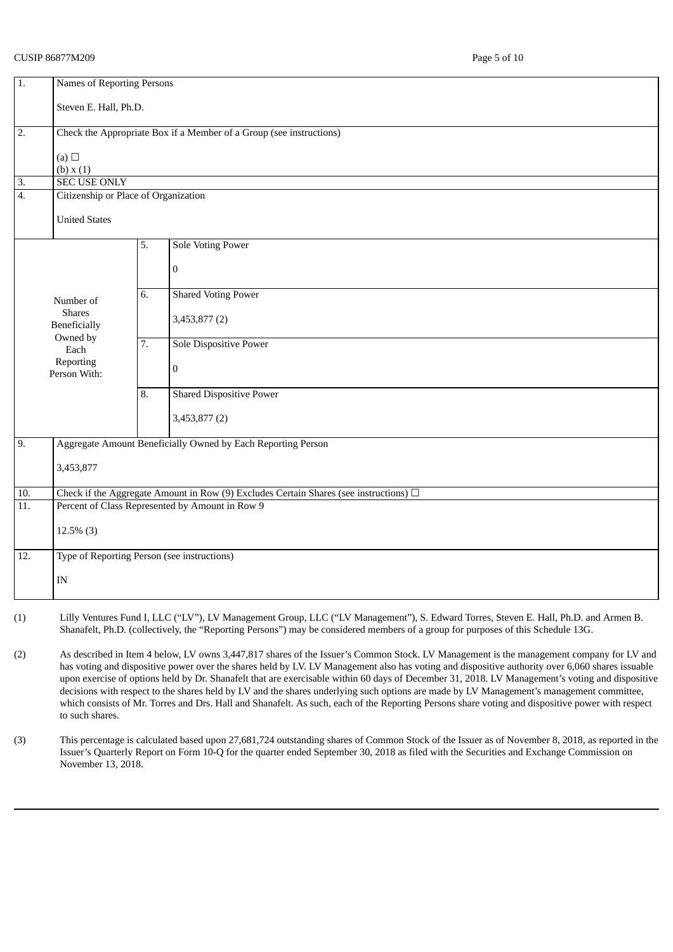# CUSIP 86877M209 Page 5 of 10

| $\overline{1}$ .        | <b>Names of Reporting Persons</b>                                                          |    |                                                                     |  |  |  |
|-------------------------|--------------------------------------------------------------------------------------------|----|---------------------------------------------------------------------|--|--|--|
|                         | Steven E. Hall, Ph.D.                                                                      |    |                                                                     |  |  |  |
|                         |                                                                                            |    |                                                                     |  |  |  |
| $\overline{2}$ .        |                                                                                            |    | Check the Appropriate Box if a Member of a Group (see instructions) |  |  |  |
|                         | (a) $\Box$                                                                                 |    |                                                                     |  |  |  |
|                         | (b) x(1)                                                                                   |    |                                                                     |  |  |  |
| $\overline{\mathbf{r}}$ | <b>SEC USE ONLY</b>                                                                        |    |                                                                     |  |  |  |
| $\overline{4}$ .        | Citizenship or Place of Organization                                                       |    |                                                                     |  |  |  |
|                         | <b>United States</b>                                                                       |    |                                                                     |  |  |  |
|                         |                                                                                            |    |                                                                     |  |  |  |
|                         |                                                                                            | 5. | <b>Sole Voting Power</b>                                            |  |  |  |
|                         |                                                                                            |    | $\pmb{0}$                                                           |  |  |  |
|                         |                                                                                            |    |                                                                     |  |  |  |
|                         | Number of                                                                                  | 6. | <b>Shared Voting Power</b>                                          |  |  |  |
|                         | <b>Shares</b>                                                                              |    |                                                                     |  |  |  |
|                         | Beneficially                                                                               |    | 3,453,877 (2)                                                       |  |  |  |
|                         | Owned by<br>Each                                                                           | 7. | Sole Dispositive Power                                              |  |  |  |
|                         | Reporting                                                                                  |    |                                                                     |  |  |  |
|                         | Person With:                                                                               |    | $\boldsymbol{0}$                                                    |  |  |  |
|                         |                                                                                            | 8. | <b>Shared Dispositive Power</b>                                     |  |  |  |
|                         |                                                                                            |    |                                                                     |  |  |  |
|                         |                                                                                            |    | 3,453,877 (2)                                                       |  |  |  |
| 9.                      |                                                                                            |    | Aggregate Amount Beneficially Owned by Each Reporting Person        |  |  |  |
|                         |                                                                                            |    |                                                                     |  |  |  |
|                         | 3,453,877                                                                                  |    |                                                                     |  |  |  |
| 10.                     | Check if the Aggregate Amount in Row (9) Excludes Certain Shares (see instructions) $\Box$ |    |                                                                     |  |  |  |
| 11.                     | Percent of Class Represented by Amount in Row 9                                            |    |                                                                     |  |  |  |
|                         |                                                                                            |    |                                                                     |  |  |  |
|                         | $12.5\%$ (3)                                                                               |    |                                                                     |  |  |  |
| 12.                     | Type of Reporting Person (see instructions)                                                |    |                                                                     |  |  |  |
|                         |                                                                                            |    |                                                                     |  |  |  |
|                         | $\ensuremath{\text{IN}}$                                                                   |    |                                                                     |  |  |  |
|                         |                                                                                            |    |                                                                     |  |  |  |

- (1) Lilly Ventures Fund I, LLC ("LV"), LV Management Group, LLC ("LV Management"), S. Edward Torres, Steven E. Hall, Ph.D. and Armen B. Shanafelt, Ph.D. (collectively, the "Reporting Persons") may be considered members of a group for purposes of this Schedule 13G.
- (2) As described in Item 4 below, LV owns 3,447,817 shares of the Issuer's Common Stock. LV Management is the management company for LV and has voting and dispositive power over the shares held by LV. LV Management also has voting and dispositive authority over 6,060 shares issuable upon exercise of options held by Dr. Shanafelt that are exercisable within 60 days of December 31, 2018. LV Management's voting and dispositive decisions with respect to the shares held by LV and the shares underlying such options are made by LV Management's management committee, which consists of Mr. Torres and Drs. Hall and Shanafelt. As such, each of the Reporting Persons share voting and dispositive power with respect to such shares.
- (3) This percentage is calculated based upon 27,681,724 outstanding shares of Common Stock of the Issuer as of November 8, 2018, as reported in the Issuer's Quarterly Report on Form 10-Q for the quarter ended September 30, 2018 as filed with the Securities and Exchange Commission on November 13, 2018.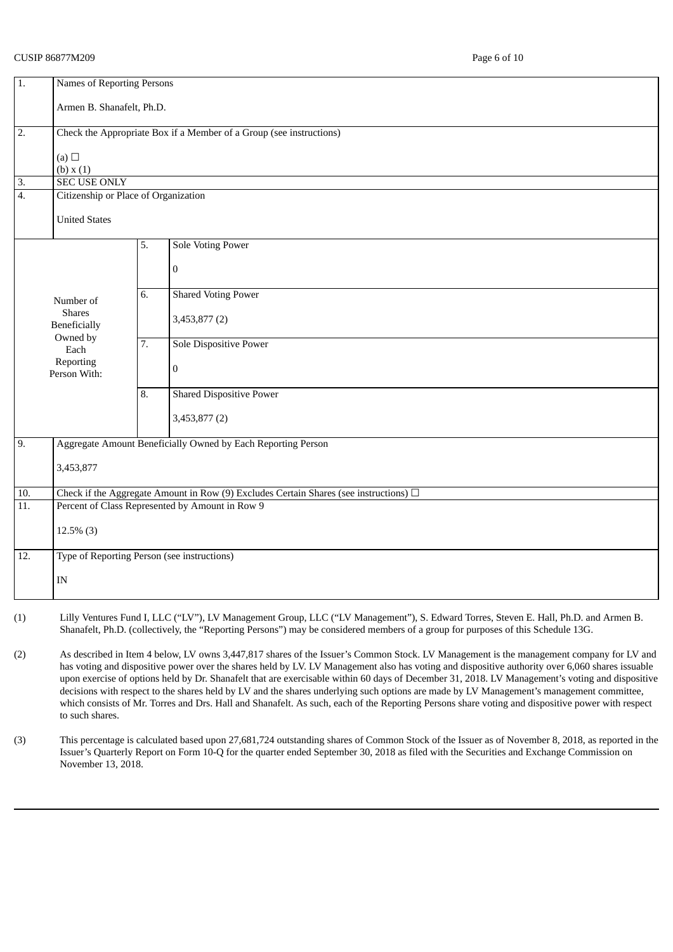# CUSIP 86877M209 Page 6 of 10

| 1.                | <b>Names of Reporting Persons</b>                                                          |    |                                                                     |  |  |
|-------------------|--------------------------------------------------------------------------------------------|----|---------------------------------------------------------------------|--|--|
|                   | Armen B. Shanafelt, Ph.D.                                                                  |    |                                                                     |  |  |
| $\overline{2}$ .  |                                                                                            |    | Check the Appropriate Box if a Member of a Group (see instructions) |  |  |
|                   | (a) $\Box$<br>(b) x(1)                                                                     |    |                                                                     |  |  |
| $\overline{3}$ .  | <b>SEC USE ONLY</b>                                                                        |    |                                                                     |  |  |
| $\overline{4}$ .  | Citizenship or Place of Organization                                                       |    |                                                                     |  |  |
|                   | <b>United States</b>                                                                       |    |                                                                     |  |  |
|                   |                                                                                            | 5. | <b>Sole Voting Power</b>                                            |  |  |
|                   |                                                                                            |    | $\boldsymbol{0}$                                                    |  |  |
|                   | Number of                                                                                  | 6. | <b>Shared Voting Power</b>                                          |  |  |
|                   | <b>Shares</b><br><b>Beneficially</b><br>Owned by                                           |    | 3,453,877 (2)                                                       |  |  |
|                   | Each                                                                                       | 7. | Sole Dispositive Power                                              |  |  |
|                   | Reporting<br>Person With:                                                                  |    | $\boldsymbol{0}$                                                    |  |  |
|                   |                                                                                            | 8. | <b>Shared Dispositive Power</b>                                     |  |  |
|                   |                                                                                            |    | 3,453,877 (2)                                                       |  |  |
| 9.                |                                                                                            |    | Aggregate Amount Beneficially Owned by Each Reporting Person        |  |  |
|                   | 3,453,877                                                                                  |    |                                                                     |  |  |
| 10.               | Check if the Aggregate Amount in Row (9) Excludes Certain Shares (see instructions) $\Box$ |    |                                                                     |  |  |
| 11.               | Percent of Class Represented by Amount in Row 9                                            |    |                                                                     |  |  |
|                   | $12.5\%$ (3)                                                                               |    |                                                                     |  |  |
| $\overline{12}$ . | Type of Reporting Person (see instructions)                                                |    |                                                                     |  |  |
|                   | $\mathbf{IN}$                                                                              |    |                                                                     |  |  |
|                   |                                                                                            |    |                                                                     |  |  |

- (1) Lilly Ventures Fund I, LLC ("LV"), LV Management Group, LLC ("LV Management"), S. Edward Torres, Steven E. Hall, Ph.D. and Armen B. Shanafelt, Ph.D. (collectively, the "Reporting Persons") may be considered members of a group for purposes of this Schedule 13G.
- (2) As described in Item 4 below, LV owns 3,447,817 shares of the Issuer's Common Stock. LV Management is the management company for LV and has voting and dispositive power over the shares held by LV. LV Management also has voting and dispositive authority over 6,060 shares issuable upon exercise of options held by Dr. Shanafelt that are exercisable within 60 days of December 31, 2018. LV Management's voting and dispositive decisions with respect to the shares held by LV and the shares underlying such options are made by LV Management's management committee, which consists of Mr. Torres and Drs. Hall and Shanafelt. As such, each of the Reporting Persons share voting and dispositive power with respect to such shares.
- (3) This percentage is calculated based upon 27,681,724 outstanding shares of Common Stock of the Issuer as of November 8, 2018, as reported in the Issuer's Quarterly Report on Form 10-Q for the quarter ended September 30, 2018 as filed with the Securities and Exchange Commission on November 13, 2018.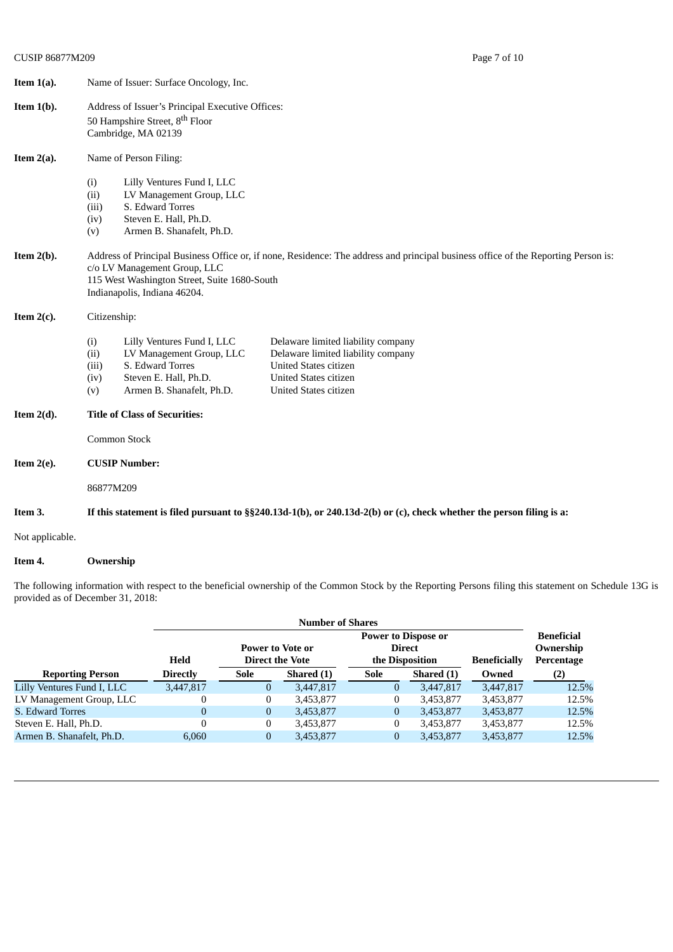| Item $1(a)$ . | Name of Issuer: Surface Oncology, Inc.                                                                                                                                                                                                                                                                                                |  |  |  |  |
|---------------|---------------------------------------------------------------------------------------------------------------------------------------------------------------------------------------------------------------------------------------------------------------------------------------------------------------------------------------|--|--|--|--|
| Item $1(b)$ . | Address of Issuer's Principal Executive Offices:<br>50 Hampshire Street, 8 <sup>th</sup> Floor<br>Cambridge, MA 02139                                                                                                                                                                                                                 |  |  |  |  |
| Item $2(a)$ . | Name of Person Filing:                                                                                                                                                                                                                                                                                                                |  |  |  |  |
|               | Lilly Ventures Fund I, LLC<br>(i)<br>LV Management Group, LLC<br>(ii)<br>S. Edward Torres<br>(iii)<br>Steven E. Hall, Ph.D.<br>(iv)<br>Armen B. Shanafelt, Ph.D.<br>(v)                                                                                                                                                               |  |  |  |  |
| Item $2(b)$ . | Address of Principal Business Office or, if none, Residence: The address and principal business office of the Reporting Person is:<br>c/o LV Management Group, LLC<br>115 West Washington Street, Suite 1680-South<br>Indianapolis, Indiana 46204.                                                                                    |  |  |  |  |
| Item $2(c)$ . | Citizenship:                                                                                                                                                                                                                                                                                                                          |  |  |  |  |
|               | Lilly Ventures Fund I, LLC<br>Delaware limited liability company<br>(i)<br>LV Management Group, LLC<br>Delaware limited liability company<br>(ii)<br>S. Edward Torres<br><b>United States citizen</b><br>(iii)<br>Steven E. Hall, Ph.D.<br>United States citizen<br>(iv)<br>Armen B. Shanafelt, Ph.D.<br>United States citizen<br>(v) |  |  |  |  |
| Item $2(d)$ . | <b>Title of Class of Securities:</b>                                                                                                                                                                                                                                                                                                  |  |  |  |  |
|               | Common Stock                                                                                                                                                                                                                                                                                                                          |  |  |  |  |
| Item $2(e)$ . | <b>CUSIP Number:</b>                                                                                                                                                                                                                                                                                                                  |  |  |  |  |
|               | 86877M209                                                                                                                                                                                                                                                                                                                             |  |  |  |  |
| Item 3.       | If this statement is filed pursuant to §§240.13d-1(b), or 240.13d-2(b) or (c), check whether the person filing is a:                                                                                                                                                                                                                  |  |  |  |  |

Not applicable.

# **Item 4. Ownership**

The following information with respect to the beneficial ownership of the Common Stock by the Reporting Persons filing this statement on Schedule 13G is provided as of December 31, 2018:

|                            | <b>Number of Shares</b>    |                        |            |                 |                   |                     |            |
|----------------------------|----------------------------|------------------------|------------|-----------------|-------------------|---------------------|------------|
|                            | <b>Power to Dispose or</b> |                        |            |                 | <b>Beneficial</b> |                     |            |
|                            |                            | Power to Vote or       |            | <b>Direct</b>   |                   |                     | Ownership  |
|                            | Held                       | <b>Direct the Vote</b> |            | the Disposition |                   | <b>Beneficially</b> | Percentage |
| <b>Reporting Person</b>    | <b>Directly</b>            | <b>Sole</b>            | Shared (1) | Sole            | Shared (1)        | Owned               | (2)        |
| Lilly Ventures Fund I, LLC | 3.447,817                  | $\overline{0}$         | 3,447,817  | $\bf{0}$        | 3,447,817         | 3,447,817           | 12.5%      |
| LV Management Group, LLC   | 0                          | $\mathbf{0}$           | 3,453,877  | $\mathbf{0}$    | 3,453,877         | 3,453,877           | 12.5%      |
| S. Edward Torres           | 0                          | $\overline{0}$         | 3,453,877  | $\overline{0}$  | 3,453,877         | 3,453,877           | 12.5%      |
| Steven E. Hall, Ph.D.      | 0                          | $\boldsymbol{0}$       | 3,453,877  | $\mathbf{0}$    | 3,453,877         | 3,453,877           | 12.5%      |
| Armen B. Shanafelt, Ph.D.  | 6.060                      | $\mathbf{0}$           | 3,453,877  | $\overline{0}$  | 3,453,877         | 3,453,877           | 12.5%      |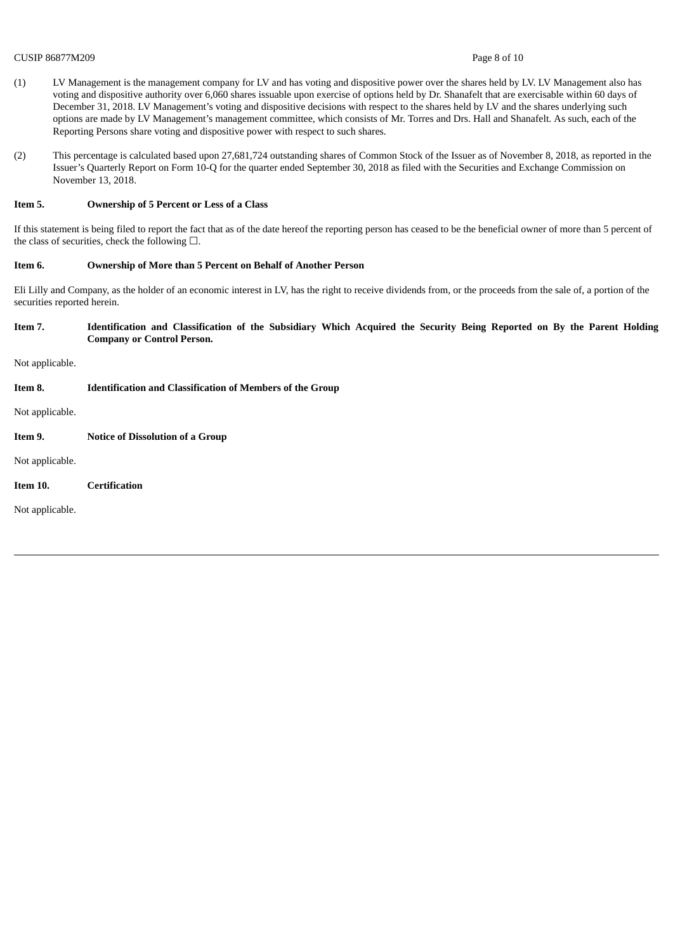#### CUSIP 86877M209 Page 8 of 10

- (1) LV Management is the management company for LV and has voting and dispositive power over the shares held by LV. LV Management also has voting and dispositive authority over 6,060 shares issuable upon exercise of options held by Dr. Shanafelt that are exercisable within 60 days of December 31, 2018. LV Management's voting and dispositive decisions with respect to the shares held by LV and the shares underlying such options are made by LV Management's management committee, which consists of Mr. Torres and Drs. Hall and Shanafelt. As such, each of the Reporting Persons share voting and dispositive power with respect to such shares.
- (2) This percentage is calculated based upon 27,681,724 outstanding shares of Common Stock of the Issuer as of November 8, 2018, as reported in the Issuer's Quarterly Report on Form 10-Q for the quarter ended September 30, 2018 as filed with the Securities and Exchange Commission on November 13, 2018.

#### **Item 5. Ownership of 5 Percent or Less of a Class**

If this statement is being filed to report the fact that as of the date hereof the reporting person has ceased to be the beneficial owner of more than 5 percent of the class of securities, check the following  $\square$ .

#### **Item 6. Ownership of More than 5 Percent on Behalf of Another Person**

Eli Lilly and Company, as the holder of an economic interest in LV, has the right to receive dividends from, or the proceeds from the sale of, a portion of the securities reported herein.

#### Item 7. Identification and Classification of the Subsidiary Which Acquired the Security Being Reported on By the Parent Holding **Company or Control Person.**

Not applicable.

| Item 8. | <b>Identification and Classification of Members of the Group</b> |
|---------|------------------------------------------------------------------|
|         |                                                                  |

Not applicable.

**Item 9. Notice of Dissolution of a Group**

Not applicable.

**Item 10. Certification**

Not applicable.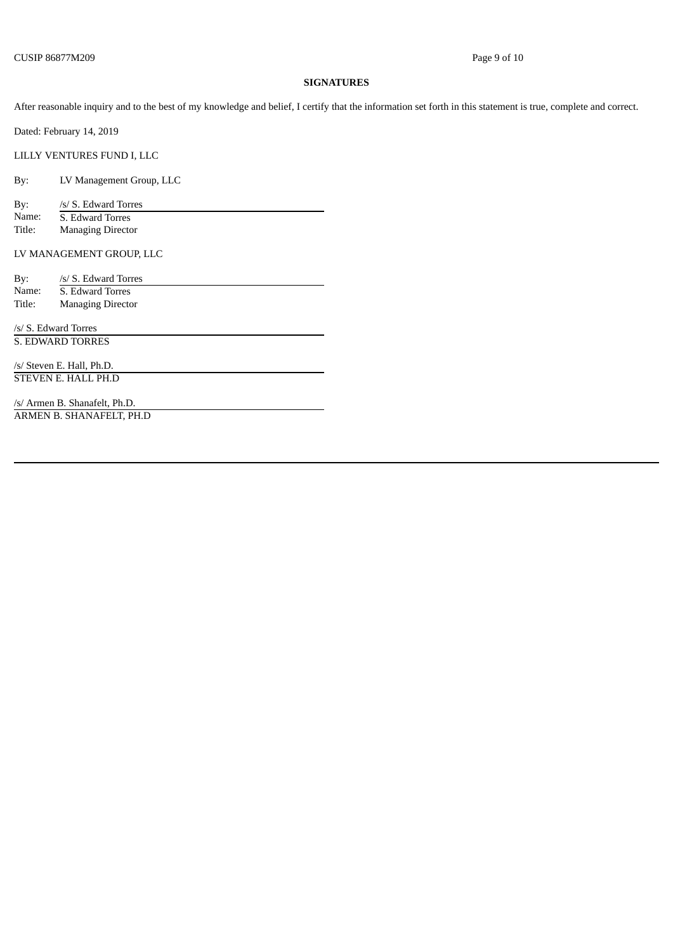# **SIGNATURES**

After reasonable inquiry and to the best of my knowledge and belief, I certify that the information set forth in this statement is true, complete and correct.

Dated: February 14, 2019

LILLY VENTURES FUND I, LLC

By: LV Management Group, LLC

By: /s/ S. Edward Torres<br>Name: 5. Edward Torres Name: **S. Edward Torres**<br>Title: **Managing Directo Managing Director** 

LV MANAGEMENT GROUP, LLC

| By:                       | /s/ S. Edward Torres     |  |  |  |  |
|---------------------------|--------------------------|--|--|--|--|
| Name:                     | S. Edward Torres         |  |  |  |  |
| Title:                    | <b>Managing Director</b> |  |  |  |  |
|                           |                          |  |  |  |  |
|                           | /s/ S. Edward Torres     |  |  |  |  |
| S. EDWARD TORRES          |                          |  |  |  |  |
|                           |                          |  |  |  |  |
| /s/ Steven E. Hall, Ph.D. |                          |  |  |  |  |
|                           | STEVEN E. HALL PH.D      |  |  |  |  |
|                           |                          |  |  |  |  |

/s/ Armen B. Shanafelt, Ph.D. ARMEN B. SHANAFELT, PH.D